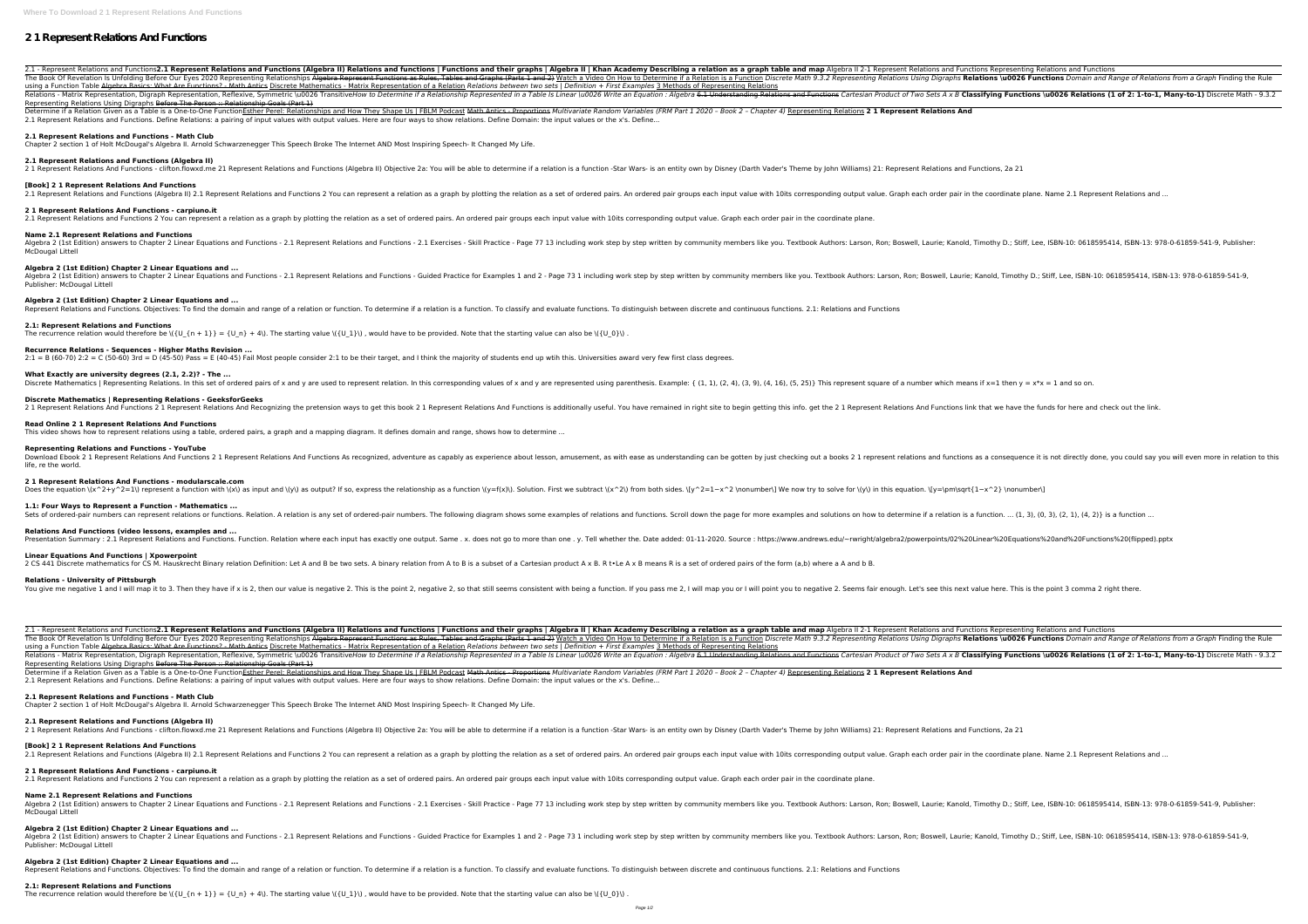# **2 1 Represent Relations And Functions**

2.1 - Represent Relations and Functions2.1 Represent Relations and Functions (Algebra II) Relations and functions and functions | Functions and their graphs | Algebra II | Khan Academy Describing a relation as a graph tabl The Book Of Revelation Is Unfolding Before Our Eyes 2020 Representing Relationships Algebra Represent Functions as Rules, Tables and Graphs (Parts 1 and 2) Watch a Video On How to Determine if a Relations Using Digraphs **R** using a Function Table Algebra Basics: What Are Functions? - Math Antics Discrete Mathematics - Matrix Representation of a Relation Relations between two sets | Definition + First Examples 3 Methods of Representing Relatio Relations - Matrix Representation, Digraph Representation, Reflexive, Symmetric \u0026 TransitiveHow to Determine if a Relationship Represented in a Table Is Linear \u0026 Write an Equation : Algebra 6.1 Understanding Rela Representing Relations Using Digraphs Before The Person :: Relationship Goals (Part 1)

Determine if a Relation Given as a Table is a One-to-One FunctionEsther Perel: Relationships and How They Shape Us | FBLM Podcast Math Antics - Proportions Multivariate Random Variables (FRM Part 1 2020 - Book 2 - Chapter 2.1 Represent Relations and Functions. Define Relations: a pairing of input values with output values. Here are four ways to show relations. Define Domain: the input values or the x's. Define...

**2.1 Represent Relations and Functions (Algebra II)** 2 1 Represent Relations And Functions - clifton.flowxd.me 21 Represent Relations and Functions (Algebra II) Objective 2a: You will be able to determine if a relation is a function -Star Wars- is an entity own by Disney (Da

2.1 Represent Relations and Functions and Functions - 2.1 Represent Relations and Functions - 2.1 Represent Relations and Functions - 2.1 Exercises - Skill Practice - Page 77 13 including work step by step written by commu McDougal Littell

## **2.1 Represent Relations and Functions - Math Club**

Algebra 2 (1st Edition) answers to Chapter 2 Linear Equations and Functions - 2.1 Represent Relations - 2.1 Represent Relations and Functions - Guided Practice for Examples 1 and 2 - Page 73 1 including work step by step w Publisher: McDougal Littell

Chapter 2 section 1 of Holt McDougal's Algebra II. Arnold Schwarzenegger This Speech Broke The Internet AND Most Inspiring Speech- It Changed My Life.

## **[Book] 2 1 Represent Relations And Functions**

2.1 Represent Relations and Functions (Algebra II) 2.1 Represent Relations and Functions 2 You can represent a relation as a graph by plotting the relation as a set of ordered pair groups each input value with 10its corres

Discrete Mathematics | Representing Relations. In this set of ordered pairs of x and y are used to represent relation. In this corresponding values of x and y are represented using parenthesis. Example: { (1, 1), (2, 4), ( **Discrete Mathematics | Representing Relations - GeeksforGeeks**

2 1 Represent Relations And Functions 2 1 Represent Relations And Recognizing the pretension ways to get this book 2 1 Represent Relations And Functions is additionally useful. You have remained in right site to begin get

## **2 1 Represent Relations And Functions - carpiuno.it**

2.1 Represent Relations and Functions 2 You can represent a relation as a graph by plotting the relation as a set of ordered pairs. An ordered pair groups each input value with 10its corresponding output value. Graph each

Download Ebook 2 1 Represent Relations And Functions 2 1 Represent Relations And Functions And Functions As recognized, adventure as capably as experience about lesson, amusement, as with ease as understanding can be gotte life, re the world.

## **Name 2.1 Represent Relations and Functions**

## **Algebra 2 (1st Edition) Chapter 2 Linear Equations and ...**

## **Algebra 2 (1st Edition) Chapter 2 Linear Equations and ...**

Represent Relations and Functions. Objectives: To find the domain and range of a relation or function. To determine if a relation is a functions. To distinguish between discrete and continuous functions. 2.1: Relations and

## **2.1: Represent Relations and Functions**

The recurrence relation would therefore be  $\{(U_{n} + 1)\} = \{U_{n}\} + 4\}$ . The starting value  $\{(U_{n} + 1)\}$ , would have to be provided. Note that the starting value can also be  $(\{U_{n}\})$ .

## **Recurrence Relations - Sequences - Higher Maths Revision ...**

 $2:1 = B$  (60-70)  $2:2 = C$  (50-60) 3rd = D (45-50) Pass = E (40-45) Fail Most people consider 2:1 to be their target, and I think the majority of students end up wtih this. Universities award very few first class degrees.

2.1 - Represent Relations and Functions2.1 Represent Relations and Functions (Algebra II) Relations and functions and functions | Functions and their graphs | Algebra II | Khan Academy Describing a relation as a graph tabl The Book Of Revelation Is Unfolding Before Our Eyes 2020 Representing Relationships Algebra Represent Functions as Rules, Tables and Graphs (Parts 1 and 2) Watch a Video On How to Determine if a Relations Using Digraphs **R** using a Function Table Algebra Basics: What Are Functions? - Math Antics Discrete Mathematics - Matrix Representation of a Relation Relations between two sets | Definition + First Examples 3 Methods of Representing Relatio Relations - Matrix Representation, Digraph Representation, Reflexive, Symmetric \u0026 TransitiveHow to Determine if a Relationship Represented in a Table Is Linear \u0026 Write an Equation : Algebra 6.1 Understanding Rela Representing Relations Using Digraphs Before The Person :: Relationship Goals (Part 1)

Determine if a Relation Given as a Table is a One-to-One FunctionEsther Perel: Relationships and How They Shape Us | FBLM Podcast Math Antics - Proportions Multivariate Random Variables (FRM Part 1 2020 - Book 2 - Chapter 2.1 Represent Relations and Functions. Define Relations: a pairing of input values with output values. Here are four ways to show relations. Define Domain: the input values or the x's. Define...

**What Exactly are university degrees (2.1, 2.2)? - The ...**

## **Read Online 2 1 Represent Relations And Functions**

This video shows how to represent relations using a table, ordered pairs, a graph and a mapping diagram. It defines domain and range, shows how to determine ...

Algebra 2 (1st Edition) answers to Chapter 2 Linear Equations and Functions - 2.1 Represent Relations - 2.1 Represent Relations and Functions - 2.1 Exercises - Skill Practice - Page 77 13 including work step by step writte McDougal Littell

## **Representing Relations and Functions - YouTube**

Algebra 2 (1st Edition) answers to Chapter 2 Linear Equations and Functions - 2.1 Represent Relations - 2.1 Represent Relations and Functions - Guided Practice for Examples 1 and 2 - Page 73 1 including work step by step w Publisher: McDougal Littell

## **2 1 Represent Relations And Functions - modularscale.com**

Does the equation \(x^2+y^2=1\) represent a function with \(x\) as input and \(y\) as output? If so, express the relationship as a function \(y=f(x)\). Solution. First we subtract \(x^2\) from both sides. \[y^2=1-x^2 \nonu

**1.1: Four Ways to Represent a Function - Mathematics ...**

## **Relations And Functions (video lessons, examples and ...**

Sets of ordered-pair numbers can represent relations or functions. Relation. A relation is any set of ordered-pair numbers. The following diagram shows some examples of relations and functions. Scroll down the page for mor Presentation Summary: 2.1 Represent Relations and Functions. Function. Relation where each input has exactly one output. Same . x. does not go to more than one . y. Tell whether the. Date added: 01-11-2020. Source : https:

## **Linear Equations And Functions | Xpowerpoint**

2 CS 441 Discrete mathematics for CS M. Hauskrecht Binary relation Definition: Let A and B be two sets. A binary relation from A to B is a subset of a Cartesian product A x B. R t.Le A x B means R is a set of ordered pairs

## **Relations - University of Pittsburgh**

You give me negative 1 and I will map it to 3. Then they have if x is 2, then our value is negative 2. This is the point 2, negative 2, so that still seems consistent with being a function. If you pass me 2, I will map you

## **2.1 Represent Relations and Functions - Math Club**

Chapter 2 section 1 of Holt McDougal's Algebra II. Arnold Schwarzenegger This Speech Broke The Internet AND Most Inspiring Speech- It Changed My Life.

## **2.1 Represent Relations and Functions (Algebra II)**

2 1 Represent Relations And Functions - clifton.flowxd.me 21 Represent Relations and Functions (Algebra II) Objective 2a: You will be able to determine if a relation is a function -Star Wars- is an entity own by Disney (Da

## **[Book] 2 1 Represent Relations And Functions**

2.1 Represent Relations and Functions (Algebra II) 2.1 Represent Relations and Functions 2 You can represent a relation as a graph by plotting the relation as a set of ordered pair groups each input value with 10its corres

## **2 1 Represent Relations And Functions - carpiuno.it**

2.1 Represent Relations and Functions 2 You can represent a relation as a graph by plotting the relation as a set of ordered pairs. An ordered pair groups each input value with 10its corresponding output value. Graph each

## **Name 2.1 Represent Relations and Functions**

## **Algebra 2 (1st Edition) Chapter 2 Linear Equations and ...**

## **Algebra 2 (1st Edition) Chapter 2 Linear Equations and ...**

Represent Relations and Functions. Objectives: To find the domain and range of a relation or function. To determine if a relation is a function. To classify and evaluate functions. To distinguish between discrete and conti

## **2.1: Represent Relations and Functions**

The recurrence relation would therefore be  $\{(U_{n} + 1)\} = \{U_{n}\} + 4\}$ . The starting value  $\{(U_{n} + 1)\}$ , would have to be provided. Note that the starting value can also be  $(\{U_{n}\})$ .